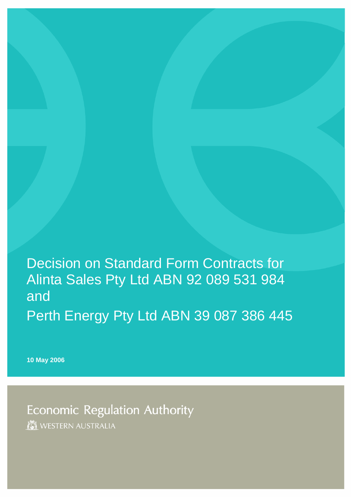Decision on Standard Form Contracts for Alinta Sales Pty Ltd ABN 92 089 531 984 and Perth Energy Pty Ltd ABN 39 087 386 445

**10 May 2006** 

**Economic Regulation Authority** WESTERN AUSTRALIA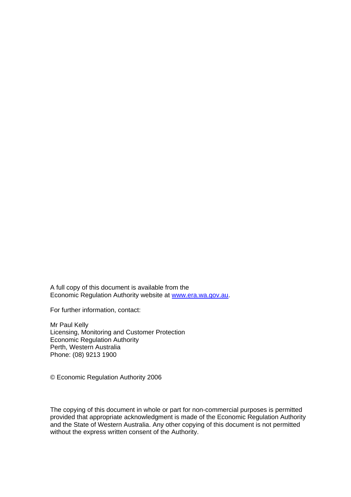A full copy of this document is available from the Economic Regulation Authority website at [www.era.wa.gov.au](http://www.era.wa.gov.au/).

For further information, contact:

Mr Paul Kelly Licensing, Monitoring and Customer Protection Economic Regulation Authority Perth, Western Australia Phone: (08) 9213 1900

© Economic Regulation Authority 2006

The copying of this document in whole or part for non-commercial purposes is permitted provided that appropriate acknowledgment is made of the Economic Regulation Authority and the State of Western Australia. Any other copying of this document is not permitted without the express written consent of the Authority.